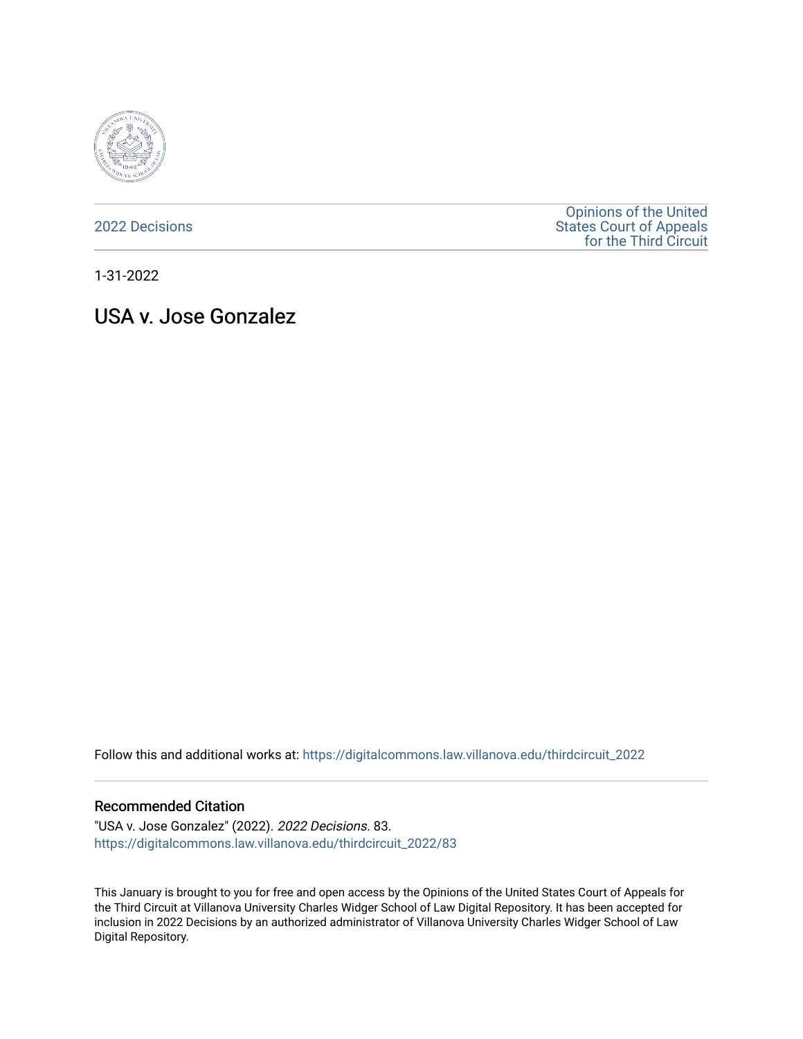

[2022 Decisions](https://digitalcommons.law.villanova.edu/thirdcircuit_2022)

[Opinions of the United](https://digitalcommons.law.villanova.edu/thirdcircuit)  [States Court of Appeals](https://digitalcommons.law.villanova.edu/thirdcircuit)  [for the Third Circuit](https://digitalcommons.law.villanova.edu/thirdcircuit) 

1-31-2022

# USA v. Jose Gonzalez

Follow this and additional works at: [https://digitalcommons.law.villanova.edu/thirdcircuit\\_2022](https://digitalcommons.law.villanova.edu/thirdcircuit_2022?utm_source=digitalcommons.law.villanova.edu%2Fthirdcircuit_2022%2F83&utm_medium=PDF&utm_campaign=PDFCoverPages) 

#### Recommended Citation

"USA v. Jose Gonzalez" (2022). 2022 Decisions. 83. [https://digitalcommons.law.villanova.edu/thirdcircuit\\_2022/83](https://digitalcommons.law.villanova.edu/thirdcircuit_2022/83?utm_source=digitalcommons.law.villanova.edu%2Fthirdcircuit_2022%2F83&utm_medium=PDF&utm_campaign=PDFCoverPages)

This January is brought to you for free and open access by the Opinions of the United States Court of Appeals for the Third Circuit at Villanova University Charles Widger School of Law Digital Repository. It has been accepted for inclusion in 2022 Decisions by an authorized administrator of Villanova University Charles Widger School of Law Digital Repository.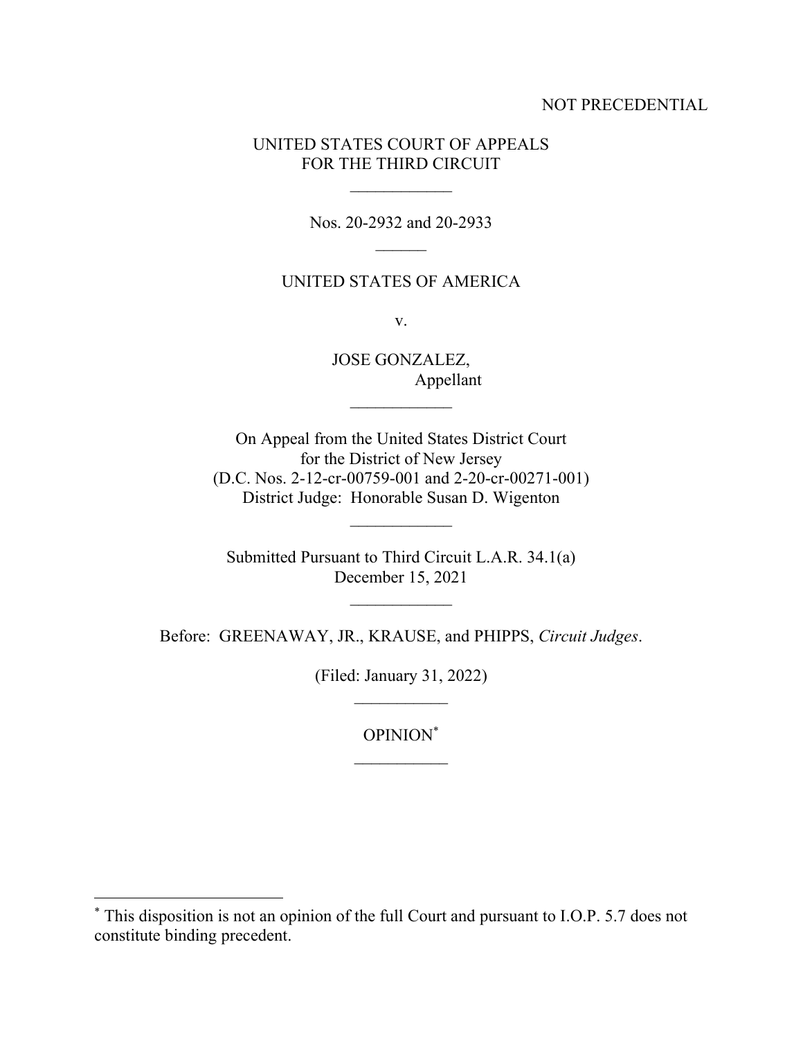### NOT PRECEDENTIAL

## UNITED STATES COURT OF APPEALS FOR THE THIRD CIRCUIT

Nos. 20-2932 and 20-2933

### UNITED STATES OF AMERICA

v.

JOSE GONZALEZ, Appellant

 $\mathcal{L}_\text{max}$ 

On Appeal from the United States District Court for the District of New Jersey (D.C. Nos. 2-12-cr-00759-001 and 2-20-cr-00271-001) District Judge: Honorable Susan D. Wigenton

Submitted Pursuant to Third Circuit L.A.R. 34.1(a) December 15, 2021

Before: GREENAWAY, JR., KRAUSE, and PHIPPS, *Circuit Judges*.

(Filed: January 31, 2022)  $\mathcal{L}_\text{max}$ 

OPINION\*

<sup>\*</sup> This disposition is not an opinion of the full Court and pursuant to I.O.P. 5.7 does not constitute binding precedent.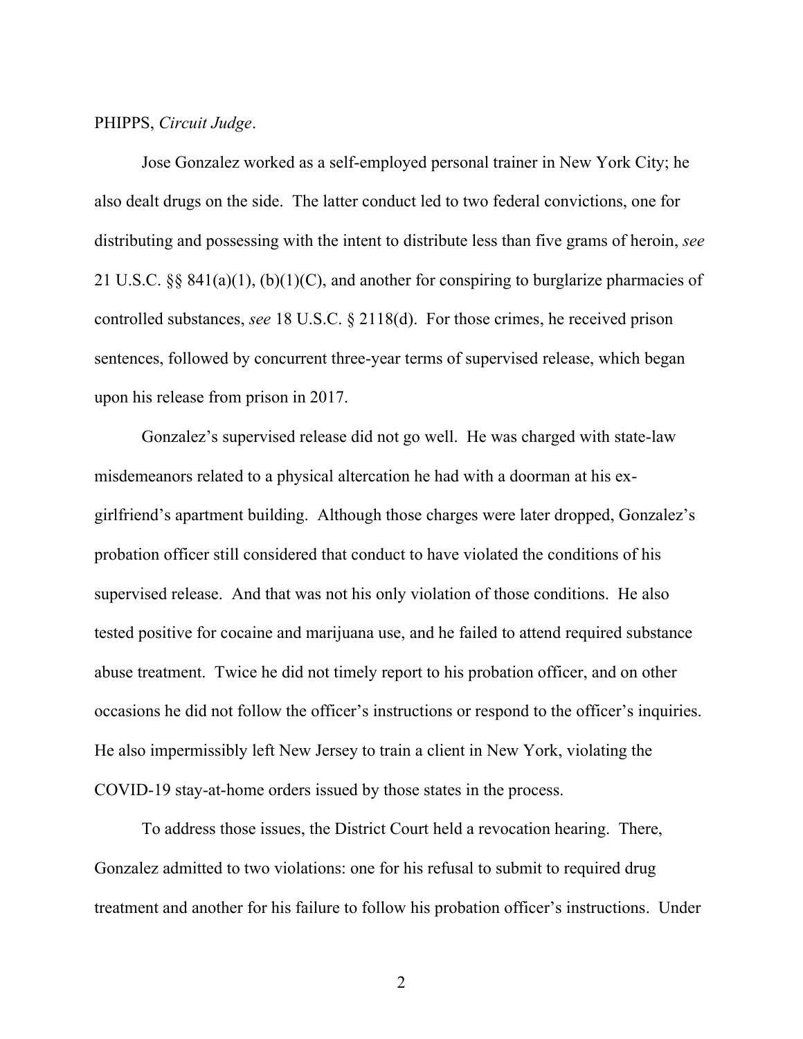PHIPPS, *Circuit Judge*.

Jose Gonzalez worked as a self-employed personal trainer in New York City; he also dealt drugs on the side. The latter conduct led to two federal convictions, one for distributing and possessing with the intent to distribute less than five grams of heroin, *see* 21 U.S.C. §§ 841(a)(1), (b)(1)(C), and another for conspiring to burglarize pharmacies of controlled substances, *see* 18 U.S.C. § 2118(d). For those crimes, he received prison sentences, followed by concurrent three-year terms of supervised release, which began upon his release from prison in 2017.

Gonzalez's supervised release did not go well. He was charged with state-law misdemeanors related to a physical altercation he had with a doorman at his exgirlfriend's apartment building. Although those charges were later dropped, Gonzalez's probation officer still considered that conduct to have violated the conditions of his supervised release. And that was not his only violation of those conditions. He also tested positive for cocaine and marijuana use, and he failed to attend required substance abuse treatment. Twice he did not timely report to his probation officer, and on other occasions he did not follow the officer's instructions or respond to the officer's inquiries. He also impermissibly left New Jersey to train a client in New York, violating the COVID-19 stay-at-home orders issued by those states in the process.

To address those issues, the District Court held a revocation hearing. There, Gonzalez admitted to two violations: one for his refusal to submit to required drug treatment and another for his failure to follow his probation officer's instructions. Under

2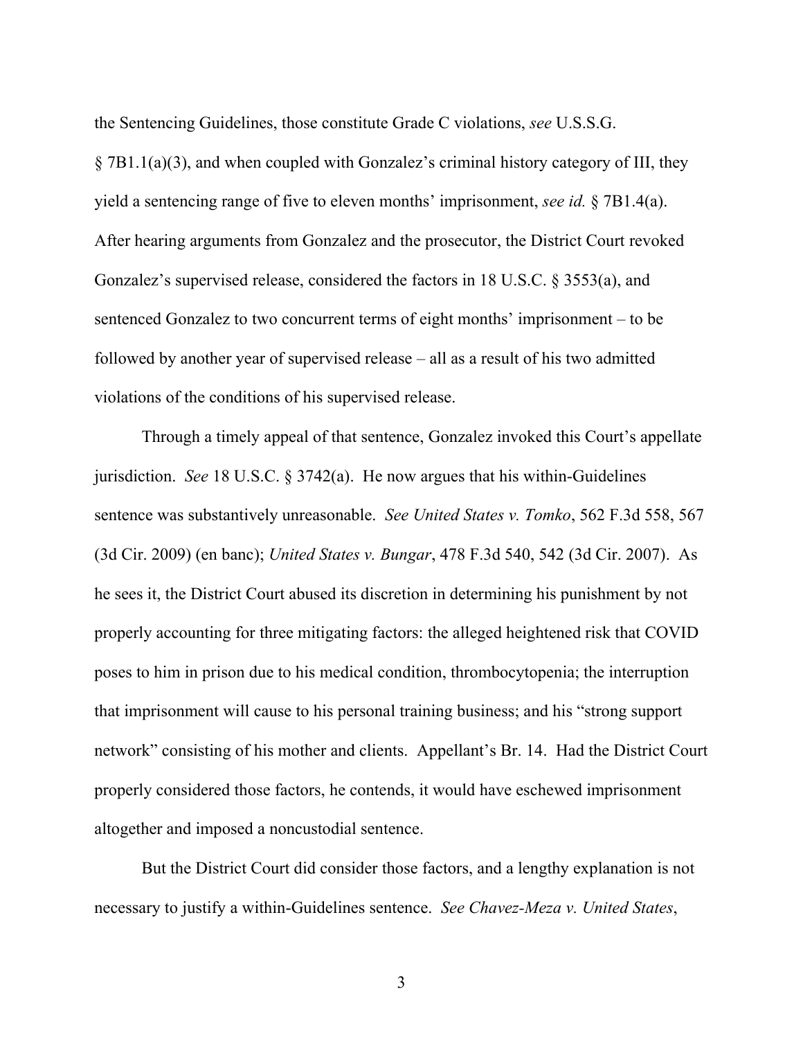the Sentencing Guidelines, those constitute Grade C violations, *see* U.S.S.G. § 7B1.1(a)(3), and when coupled with Gonzalez's criminal history category of III, they yield a sentencing range of five to eleven months' imprisonment, *see id.* § 7B1.4(a). After hearing arguments from Gonzalez and the prosecutor, the District Court revoked Gonzalez's supervised release, considered the factors in 18 U.S.C. § 3553(a), and sentenced Gonzalez to two concurrent terms of eight months' imprisonment – to be followed by another year of supervised release – all as a result of his two admitted violations of the conditions of his supervised release.

Through a timely appeal of that sentence, Gonzalez invoked this Court's appellate jurisdiction. *See* 18 U.S.C. § 3742(a). He now argues that his within-Guidelines sentence was substantively unreasonable. *See United States v. Tomko*, 562 F.3d 558, 567 (3d Cir. 2009) (en banc); *United States v. Bungar*, 478 F.3d 540, 542 (3d Cir. 2007). As he sees it, the District Court abused its discretion in determining his punishment by not properly accounting for three mitigating factors: the alleged heightened risk that COVID poses to him in prison due to his medical condition, thrombocytopenia; the interruption that imprisonment will cause to his personal training business; and his "strong support network" consisting of his mother and clients. Appellant's Br. 14. Had the District Court properly considered those factors, he contends, it would have eschewed imprisonment altogether and imposed a noncustodial sentence.

But the District Court did consider those factors, and a lengthy explanation is not necessary to justify a within-Guidelines sentence. *See Chavez-Meza v. United States*,

3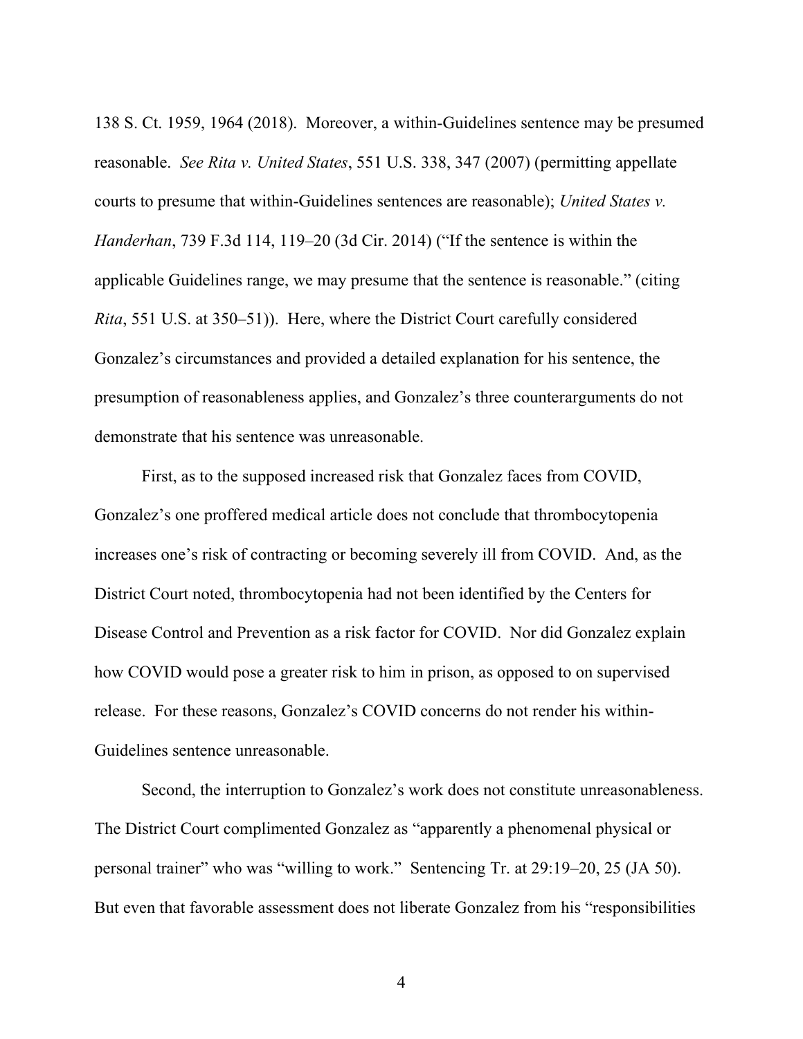138 S. Ct. 1959, 1964 (2018). Moreover, a within-Guidelines sentence may be presumed reasonable. *See Rita v. United States*, 551 U.S. 338, 347 (2007) (permitting appellate courts to presume that within-Guidelines sentences are reasonable); *United States v. Handerhan*, 739 F.3d 114, 119–20 (3d Cir. 2014) ("If the sentence is within the applicable Guidelines range, we may presume that the sentence is reasonable." (citing *Rita*, 551 U.S. at 350–51)). Here, where the District Court carefully considered Gonzalez's circumstances and provided a detailed explanation for his sentence, the presumption of reasonableness applies, and Gonzalez's three counterarguments do not demonstrate that his sentence was unreasonable.

First, as to the supposed increased risk that Gonzalez faces from COVID, Gonzalez's one proffered medical article does not conclude that thrombocytopenia increases one's risk of contracting or becoming severely ill from COVID. And, as the District Court noted, thrombocytopenia had not been identified by the Centers for Disease Control and Prevention as a risk factor for COVID. Nor did Gonzalez explain how COVID would pose a greater risk to him in prison, as opposed to on supervised release. For these reasons, Gonzalez's COVID concerns do not render his within-Guidelines sentence unreasonable.

Second, the interruption to Gonzalez's work does not constitute unreasonableness. The District Court complimented Gonzalez as "apparently a phenomenal physical or personal trainer" who was "willing to work." Sentencing Tr. at 29:19–20, 25 (JA 50). But even that favorable assessment does not liberate Gonzalez from his "responsibilities

4